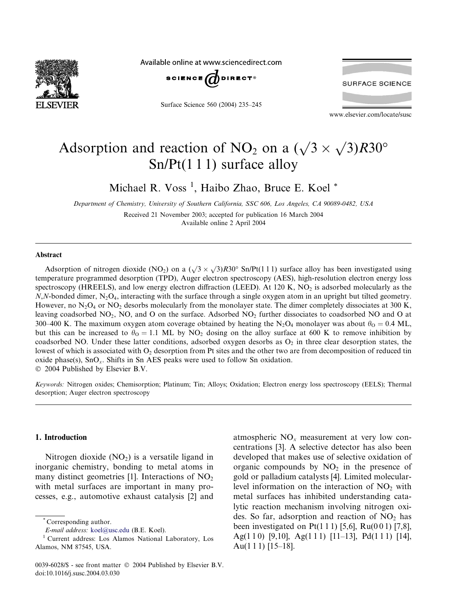

Available online at www.sciencedirect.com



Surface Science 560 (2004) 235–245

**SURFACE SCIENCE** 

www.elsevier.com/locate/susc

# Adsorption and reaction of NO<sub>2</sub> on a  $(\sqrt{3} \times \sqrt{3})R30^{\circ}$ Sn/Pt(1 1 1) surface alloy

Michael R. Voss<sup>1</sup>, Haibo Zhao, Bruce E. Koel<sup>\*</sup>

Department of Chemistry, University of Southern California, SSC 606, Los Angeles, CA 90089-0482, USA Received 21 November 2003; accepted for publication 16 March 2004

Available online 2 April 2004

#### Abstract

Adsorption of nitrogen dioxide (NO<sub>2</sub>) on a ( $\sqrt{3} \times \sqrt{3}R30^\circ$  Sn/Pt(1 1 1) surface alloy has been investigated using temperature programmed desorption (TPD), Auger electron spectroscopy (AES), high-resolution electron energy loss spectroscopy (HREELS), and low energy electron diffraction (LEED). At 120 K,  $NO<sub>2</sub>$  is adsorbed molecularly as the  $N$ ,N-bonded dimer, N<sub>2</sub>O<sub>4</sub>, interacting with the surface through a single oxygen atom in an upright but tilted geometry. However, no  $N_2O_4$  or  $NO_2$  desorbs molecularly from the monolayer state. The dimer completely dissociates at 300 K, leaving coadsorbed NO<sub>2</sub>, NO, and O on the surface. Adsorbed NO<sub>2</sub> further dissociates to coadsorbed NO and O at 300–400 K. The maximum oxygen atom coverage obtained by heating the N<sub>2</sub>O<sub>4</sub> monolayer was about  $\theta_0 = 0.4$  ML, but this can be increased to  $\theta_0 = 1.1$  ML by NO<sub>2</sub> dosing on the alloy surface at 600 K to remove inhibition by coadsorbed NO. Under these latter conditions, adsorbed oxygen desorbs as  $O<sub>2</sub>$  in three clear desorption states, the lowest of which is associated with  $O<sub>2</sub>$  desorption from Pt sites and the other two are from decomposition of reduced tin oxide phase(s),  $SnO<sub>x</sub>$ . Shifts in Sn AES peaks were used to follow Sn oxidation.  $\odot$  2004 Published by Elsevier B.V.

Keywords: Nitrogen oxides; Chemisorption; Platinum; Tin; Alloys; Oxidation; Electron energy loss spectroscopy (EELS); Thermal desorption; Auger electron spectroscopy

## 1. Introduction

Nitrogen dioxide  $(NO<sub>2</sub>)$  is a versatile ligand in inorganic chemistry, bonding to metal atoms in many distinct geometries  $[1]$ . Interactions of NO<sub>2</sub> with metal surfaces are important in many processes, e.g., automotive exhaust catalysis [2] and

atmospheric  $NO<sub>x</sub>$  measurement at very low concentrations [3]. A selective detector has also been developed that makes use of selective oxidation of organic compounds by  $NO<sub>2</sub>$  in the presence of gold or palladium catalysts [4]. Limited molecularlevel information on the interaction of  $NO<sub>2</sub>$  with metal surfaces has inhibited understanding catalytic reaction mechanism involving nitrogen oxides. So far, adsorption and reaction of  $NO<sub>2</sub>$  has been investigated on Pt(1 1 1) [5,6], Ru(0 0 1) [7,8], Ag(1 1 0) [9,10], Ag(1 1 1) [11–13], Pd(1 1 1) [14], Au(1 1 1)  $[15-18]$ .

Corresponding author.

E-mail address: [koel@usc.edu](mail to: koel@usc.edu) (B.E. Koel).

<sup>1</sup> Current address: Los Alamos National Laboratory, Los Alamos, NM 87545, USA.

<sup>0039-6028/\$ -</sup> see front matter  $\odot$  2004 Published by Elsevier B.V. doi:10.1016/j.susc.2004.03.030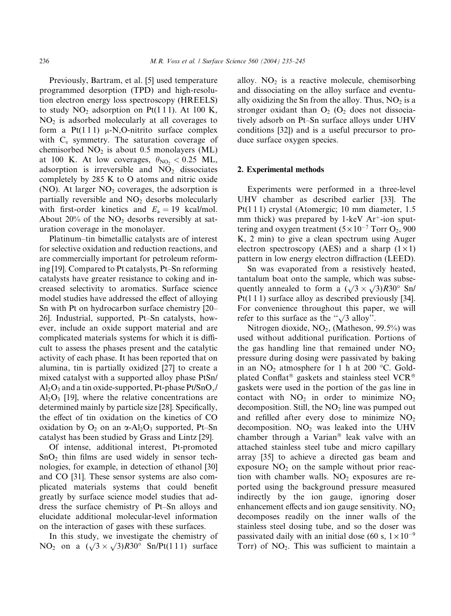Previously, Bartram, et al. [5] used temperature programmed desorption (TPD) and high-resolution electron energy loss spectroscopy (HREELS) to study  $NO<sub>2</sub>$  adsorption on Pt(111). At 100 K,  $NO<sub>2</sub>$  is adsorbed molecularly at all coverages to form a  $Pt(111)$   $\mu$ -N,O-nitrito surface complex with  $C_s$  symmetry. The saturation coverage of chemisorbed  $NO<sub>2</sub>$  is about 0.5 monolayers (ML) at 100 K. At low coverages,  $\theta_{\text{NO}_2} < 0.25$  ML, adsorption is irreversible and  $NO<sub>2</sub>$  dissociates completely by 285 K to O atoms and nitric oxide (NO). At larger  $NO<sub>2</sub>$  coverages, the adsorption is partially reversible and  $NO<sub>2</sub>$  desorbs molecularly with first-order kinetics and  $E_a = 19$  kcal/mol. About 20% of the  $NO<sub>2</sub>$  desorbs reversibly at saturation coverage in the monolayer.

Platinum–tin bimetallic catalysts are of interest for selective oxidation and reduction reactions, and are commercially important for petroleum reforming [19]. Compared to Pt catalysts, Pt–Sn reforming catalysts have greater resistance to coking and increased selectivity to aromatics. Surface science model studies have addressed the effect of alloying Sn with Pt on hydrocarbon surface chemistry [20– 26]. Industrial, supported, Pt–Sn catalysts, however, include an oxide support material and are complicated materials systems for which it is difficult to assess the phases present and the catalytic activity of each phase. It has been reported that on alumina, tin is partially oxidized [27] to create a mixed catalyst with a supported alloy phase PtSn/  $\text{Al}_2\text{O}_3$  and a tin oxide-supported, Pt-phase Pt/SnO<sub>x</sub>/  $Al_2O_3$  [19], where the relative concentrations are determined mainly by particle size [28]. Specifically, the effect of tin oxidation on the kinetics of CO oxidation by  $O_2$  on an  $\alpha$ -Al<sub>2</sub>O<sub>3</sub> supported, Pt–Sn catalyst has been studied by Grass and Lintz [29].

Of intense, additional interest, Pt-promoted  $SnO<sub>2</sub>$  thin films are used widely in sensor technologies, for example, in detection of ethanol [30] and CO [31]. These sensor systems are also complicated materials systems that could benefit greatly by surface science model studies that address the surface chemistry of Pt–Sn alloys and elucidate additional molecular-level information on the interaction of gases with these surfaces.

In this study, we investigate the chemistry of NO<sub>2</sub> on a  $(\sqrt{3} \times \sqrt{3})R30^\circ$  Sn/Pt(1 1 1) surface alloy.  $NO<sub>2</sub>$  is a reactive molecule, chemisorbing and dissociating on the alloy surface and eventually oxidizing the Sn from the alloy. Thus,  $NO<sub>2</sub>$  is a stronger oxidant than  $O_2$  ( $O_2$  does not dissociatively adsorb on Pt–Sn surface alloys under UHV conditions [32]) and is a useful precursor to produce surface oxygen species.

#### 2. Experimental methods

Experiments were performed in a three-level UHV chamber as described earlier [33]. The Pt(1 1 1) crystal (Atomergic; 10 mm diameter, 1.5 mm thick) was prepared by 1-keV  $Ar^+$ -ion sputtering and oxygen treatment  $(5 \times 10^{-7} \text{ Torr O}_2, 900$ K, 2 min) to give a clean spectrum using Auger electron spectroscopy (AES) and a sharp  $(1 \times 1)$ pattern in low energy electron diffraction (LEED).

Sn was evaporated from a resistively heated, tantalum boat onto the sample, which was subsequently annealed to form a  $(\sqrt{3} \times \sqrt{3})R30^\circ$  Sn/ Pt(1 1 1) surface alloy as described previously [34]. For convenience throughout this paper, we will refer to this surface as the " $\sqrt{3}$  alloy".

Nitrogen dioxide,  $NO<sub>2</sub>$ , (Matheson, 99.5%) was used without additional purification. Portions of the gas handling line that remained under  $NO<sub>2</sub>$ pressure during dosing were passivated by baking in an  $NO<sub>2</sub>$  atmosphere for 1 h at 200 °C. Goldplated Conflat<sup>®</sup> gaskets and stainless steel VCR<sup>®</sup> gaskets were used in the portion of the gas line in contact with  $NO<sub>2</sub>$  in order to minimize  $NO<sub>2</sub>$ decomposition. Still, the  $NO<sub>2</sub>$  line was pumped out and refilled after every dose to minimize  $NO<sub>2</sub>$ decomposition.  $NO<sub>2</sub>$  was leaked into the UHV chamber through a Varian<sup>®</sup> leak valve with an attached stainless steel tube and micro capillary array [35] to achieve a directed gas beam and exposure  $NO<sub>2</sub>$  on the sample without prior reaction with chamber walls.  $NO<sub>2</sub>$  exposures are reported using the background pressure measured indirectly by the ion gauge, ignoring doser enhancement effects and ion gauge sensitivity.  $NO<sub>2</sub>$ decomposes readily on the inner walls of the stainless steel dosing tube, and so the doser was passivated daily with an initial dose (60 s,  $1 \times 10^{-9}$ Torr) of  $NO<sub>2</sub>$ . This was sufficient to maintain a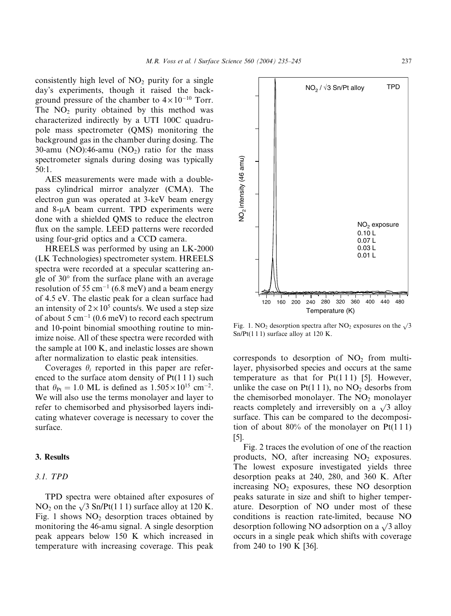consistently high level of  $NO<sub>2</sub>$  purity for a single day's experiments, though it raised the background pressure of the chamber to  $4 \times 10^{-10}$  Torr. The  $NO<sub>2</sub>$  purity obtained by this method was characterized indirectly by a UTI 100C quadrupole mass spectrometer (QMS) monitoring the background gas in the chamber during dosing. The 30-amu (NO):46-amu (NO<sub>2</sub>) ratio for the mass spectrometer signals during dosing was typically 50:1.

AES measurements were made with a doublepass cylindrical mirror analyzer (CMA). The electron gun was operated at 3-keV beam energy and  $8-\mu A$  beam current. TPD experiments were done with a shielded QMS to reduce the electron flux on the sample. LEED patterns were recorded using four-grid optics and a CCD camera.

HREELS was performed by using an LK-2000 (LK Technologies) spectrometer system. HREELS spectra were recorded at a specular scattering angle of  $30^{\circ}$  from the surface plane with an average resolution of 55  $cm^{-1}$  (6.8 meV) and a beam energy of 4.5 eV. The elastic peak for a clean surface had an intensity of  $2 \times 10^5$  counts/s. We used a step size of about 5  $cm^{-1}$  (0.6 meV) to record each spectrum and 10-point binomial smoothing routine to minimize noise. All of these spectra were recorded with the sample at 100 K, and inelastic losses are shown after normalization to elastic peak intensities.

Coverages  $\theta_i$  reported in this paper are referenced to the surface atom density of Pt(1 1 1) such that  $\theta_{\text{Pt}} = 1.0 \text{ ML}$  is defined as  $1.505 \times 10^{15} \text{ cm}^{-2}$ . We will also use the terms monolayer and layer to refer to chemisorbed and physisorbed layers indicating whatever coverage is necessary to cover the surface.

# 3. Results

## 3.1. TPD

TPD spectra were obtained after exposures of NO<sub>2</sub> on the  $\sqrt{3}$  Sn/Pt(1 1 1) surface alloy at 120 K. Fig. 1 shows  $NO<sub>2</sub>$  desorption traces obtained by monitoring the 46-amu signal. A single desorption peak appears below 150 K which increased in temperature with increasing coverage. This peak



Fig. 1. NO<sub>2</sub> desorption spectra after NO<sub>2</sub> exposures on the  $\sqrt{3}$  $Sn/Pt(111)$  surface alloy at 120 K.

corresponds to desorption of  $NO<sub>2</sub>$  from multilayer, physisorbed species and occurs at the same temperature as that for  $Pt(111)$  [5]. However, unlike the case on  $Pt(111)$ , no  $NO<sub>2</sub>$  desorbs from the chemisorbed monolayer. The  $NO<sub>2</sub>$  monolayer reacts completely and irreversibly on a  $\sqrt{3}$  alloy surface. This can be compared to the decomposition of about  $80\%$  of the monolayer on Pt(111) [5].

Fig. 2 traces the evolution of one of the reaction products, NO, after increasing  $NO<sub>2</sub>$  exposures. The lowest exposure investigated yields three desorption peaks at 240, 280, and 360 K. After increasing  $NO<sub>2</sub>$  exposures, these NO desorption peaks saturate in size and shift to higher temperature. Desorption of NO under most of these conditions is reaction rate-limited, because NO desorption following NO adsorption on a  $\sqrt{3}$  alloy occurs in a single peak which shifts with coverage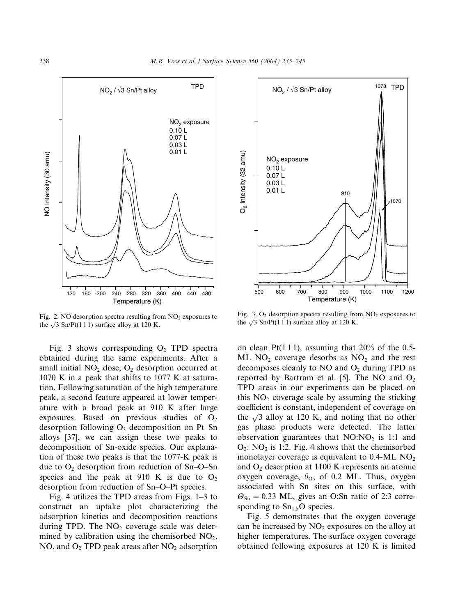

Fig. 2. NO desorption spectra resulting from  $NO<sub>2</sub>$  exposures to the  $\sqrt{3}$  Sn/Pt(1 1 1) surface alloy at 120 K.

Fig. 3 shows corresponding  $O_2$  TPD spectra obtained during the same experiments. After a small initial  $NO<sub>2</sub>$  dose,  $O<sub>2</sub>$  desorption occurred at 1070 K in a peak that shifts to 1077 K at saturation. Following saturation of the high temperature peak, a second feature appeared at lower temperature with a broad peak at 910 K after large exposures. Based on previous studies of  $O<sub>2</sub>$ desorption following  $O_3$  decomposition on Pt–Sn alloys [37], we can assign these two peaks to decomposition of Sn-oxide species. Our explanation of these two peaks is that the 1077-K peak is due to  $O_2$  desorption from reduction of Sn–O–Sn species and the peak at 910 K is due to  $O_2$ desorption from reduction of Sn–O–Pt species.

Fig. 4 utilizes the TPD areas from Figs. 1–3 to construct an uptake plot characterizing the adsorption kinetics and decomposition reactions during TPD. The  $NO<sub>2</sub>$  coverage scale was determined by calibration using the chemisorbed  $NO<sub>2</sub>$ , NO, and  $O_2$  TPD peak areas after NO<sub>2</sub> adsorption



Fig. 3.  $O_2$  desorption spectra resulting from  $NO_2$  exposures to the  $\sqrt{3}$  Sn/Pt(1 1 1) surface alloy at 120 K.

on clean Pt(111), assuming that  $20\%$  of the 0.5-ML  $NO<sub>2</sub>$  coverage desorbs as  $NO<sub>2</sub>$  and the rest decomposes cleanly to  $NO$  and  $O_2$  during TPD as reported by Bartram et al. [5]. The NO and  $O_2$ TPD areas in our experiments can be placed on this  $NO<sub>2</sub>$  coverage scale by assuming the sticking coefficient is constant, independent of coverage on the  $\sqrt{3}$  alloy at 120 K, and noting that no other gas phase products were detected. The latter observation guarantees that  $NO:NO<sub>2</sub>$  is 1:1 and  $O_2$ : NO<sub>2</sub> is 1:2. Fig. 4 shows that the chemisorbed monolayer coverage is equivalent to  $0.4\text{-}ML\text{ NO}_2$ and  $O_2$  desorption at 1100 K represents an atomic oxygen coverage,  $\theta_0$ , of 0.2 ML. Thus, oxygen associated with Sn sites on this surface, with  $\Theta_{\text{Sn}} = 0.33$  ML, gives an O:Sn ratio of 2:3 corresponding to  $Sn<sub>1.5</sub>O$  species. **Example 121**<br>
NO<sub>2</sub> exposure<br>
0.01 L<br>
0.001 L<br>
0.001 L<br>
0.001 L<br>
0.001 L<br>
0.001 L<br>
0.001 L<br>
0.001 L<br>
0.001 L<br>
0.001 L<br>
0.001 L<br>
1000<br>
1000 1100 1100 1100 1100 1200<br>
1000 1100 1100 1200<br>
1000 1100 1200 1100 1100 1200<br>
100

Fig. 5 demonstrates that the oxygen coverage can be increased by  $NO<sub>2</sub>$  exposures on the alloy at higher temperatures. The surface oxygen coverage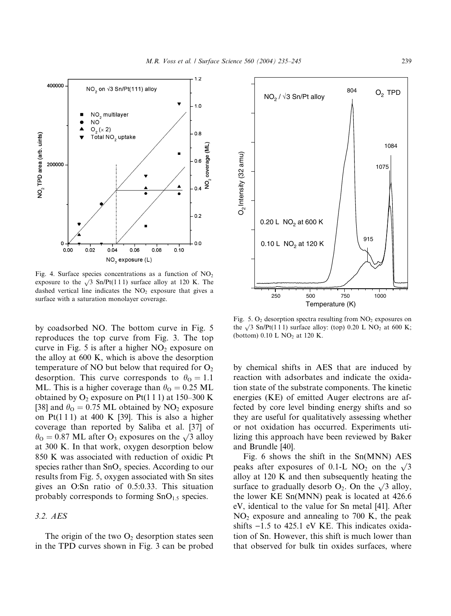

Fig. 4. Surface species concentrations as a function of  $NO<sub>2</sub>$ exposure to the  $\sqrt{3}$  Sn/Pt(1 1 1) surface alloy at 120 K. The dashed vertical line indicates the  $NO<sub>2</sub>$  exposure that gives a surface with a saturation monolayer coverage.

by coadsorbed NO. The bottom curve in Fig. 5 reproduces the top curve from Fig. 3. The top curve in Fig. 5 is after a higher  $NO<sub>2</sub>$  exposure on the alloy at 600 K, which is above the desorption temperature of NO but below that required for  $O_2$ desorption. This curve corresponds to  $\theta_{\rm O} = 1.1$ ML. This is a higher coverage than  $\theta_{\rm O} = 0.25$  ML obtained by  $O_2$  exposure on Pt(1 1 1) at 150–300 K [38] and  $\theta_{\rm O} = 0.75$  ML obtained by NO<sub>2</sub> exposure on Pt(111) at 400 K [39]. This is also a higher coverage than reported by Saliba et al. [37] of  $\theta_{\rm O} = 0.87$  ML after O<sub>3</sub> exposures on the  $\sqrt{3}$  alloy at 300 K. In that work, oxygen desorption below 850 K was associated with reduction of oxidic Pt species rather than  $SnO<sub>x</sub>$  species. According to our results from Fig. 5, oxygen associated with Sn sites gives an O:Sn ratio of 0.5:0.33. This situation probably corresponds to forming  $SnO<sub>1.5</sub>$  species.

# 3.2. AES

The origin of the two  $O_2$  desorption states seen in the TPD curves shown in Fig. 3 can be probed



Fig. 5.  $O_2$  desorption spectra resulting from  $NO_2$  exposures on the  $\sqrt{3}$  Sn/Pt(111) surface alloy: (top) 0.20 L NO<sub>2</sub> at 600 K; (bottom)  $0.10$  L NO<sub>2</sub> at 120 K.

by chemical shifts in AES that are induced by reaction with adsorbates and indicate the oxidation state of the substrate components. The kinetic energies (KE) of emitted Auger electrons are affected by core level binding energy shifts and so they are useful for qualitatively assessing whether or not oxidation has occurred. Experiments utilizing this approach have been reviewed by Baker and Brundle [40].

Fig. 6 shows the shift in the Sn(MNN) AES peaks after exposures of 0.1-L NO<sub>2</sub> on the  $\sqrt{3}$ alloy at 120 K and then subsequently heating the surface to gradually desorb  $O_2$ . On the  $\sqrt{3}$  alloy, the lower KE Sn(MNN) peak is located at 426.6 eV, identical to the value for Sn metal [41]. After  $NO<sub>2</sub>$  exposure and annealing to 700 K, the peak shifts  $-1.5$  to 425.1 eV KE. This indicates oxidation of Sn. However, this shift is much lower than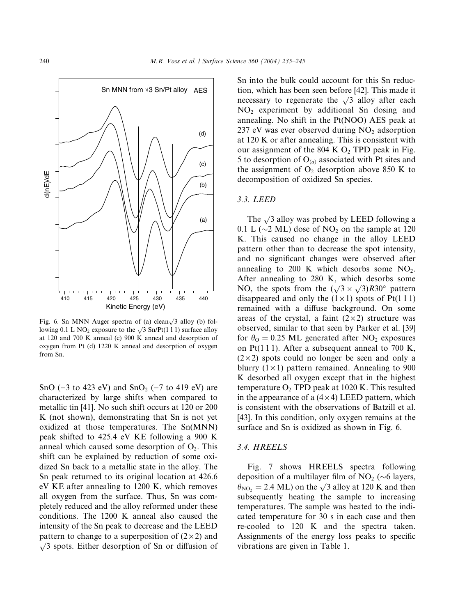

Fig. 6. Sn MNN Auger spectra of (a) clean $\sqrt{3}$  alloy (b) following 0.1 L NO<sub>2</sub> exposure to the  $\sqrt{3}$  Sn/Pt(1 1 1) surface alloy at 120 and 700 K anneal (c) 900 K anneal and desorption of oxygen from Pt (d) 1220 K anneal and desorption of oxygen from Sn.

SnO  $(-3$  to 423 eV) and SnO<sub>2</sub>  $(-7$  to 419 eV) are characterized by large shifts when compared to metallic tin [41]. No such shift occurs at 120 or 200 K (not shown), demonstrating that Sn is not yet oxidized at those temperatures. The Sn(MNN) peak shifted to 425.4 eV KE following a 900 K anneal which caused some desorption of  $O<sub>2</sub>$ . This shift can be explained by reduction of some oxidized Sn back to a metallic state in the alloy. The Sn peak returned to its original location at 426.6 eV KE after annealing to 1200 K, which removes all oxygen from the surface. Thus, Sn was completely reduced and the alloy reformed under these conditions. The 1200 K anneal also caused the intensity of the Sn peak to decrease and the LEED pattern to change to a superposition of  $(2 \times 2)$  and  $\sqrt{3}$  spots. Either desorption of Sn or diffusion of Sn into the bulk could account for this Sn reduction, which has been seen before [42]. This made it necessary to regenerate the  $\sqrt{3}$  alloy after each  $NO<sub>2</sub>$  experiment by additional Sn dosing and annealing. No shift in the Pt(NOO) AES peak at 237 eV was ever observed during  $NO<sub>2</sub>$  adsorption at 120 K or after annealing. This is consistent with our assignment of the 804 K  $O_2$  TPD peak in Fig. 5 to desorption of  $O_{(a)}$  associated with Pt sites and the assignment of  $O_2$  desorption above 850 K to decomposition of oxidized Sn species.

#### 3.3. LEED

The  $\sqrt{3}$  alloy was probed by LEED following a 0.1 L ( $\sim$ 2 ML) dose of NO<sub>2</sub> on the sample at 120 K. This caused no change in the alloy LEED pattern other than to decrease the spot intensity, and no significant changes were observed after annealing to 200 K which desorbs some  $NO<sub>2</sub>$ . After annealing to 280 K, which desorbs some NO, the spots from the  $(\sqrt{3} \times \sqrt{3})R30^\circ$  pattern disappeared and only the  $(1 \times 1)$  spots of Pt $(1 1 1)$ remained with a diffuse background. On some areas of the crystal, a faint  $(2 \times 2)$  structure was observed, similar to that seen by Parker et al. [39] for  $\theta_0 = 0.25$  ML generated after NO<sub>2</sub> exposures on Pt(111). After a subsequent anneal to 700 K,  $(2 \times 2)$  spots could no longer be seen and only a blurry  $(1 \times 1)$  pattern remained. Annealing to 900 K desorbed all oxygen except that in the highest temperature  $O_2$  TPD peak at 1020 K. This resulted in the appearance of a  $(4 \times 4)$  LEED pattern, which is consistent with the observations of Batzill et al. [43]. In this condition, only oxygen remains at the surface and Sn is oxidized as shown in Fig. 6.

#### 3.4. HREELS

Fig. 7 shows HREELS spectra following deposition of a multilayer film of  $NO<sub>2</sub> (\sim 6$  layers,  $\theta_{\text{NO}_2}$  = 2.4 ML) on the  $\sqrt{3}$  alloy at 120 K and then subsequently heating the sample to increasing temperatures. The sample was heated to the indicated temperature for 30 s in each case and then re-cooled to 120 K and the spectra taken. Assignments of the energy loss peaks to specific vibrations are given in Table 1.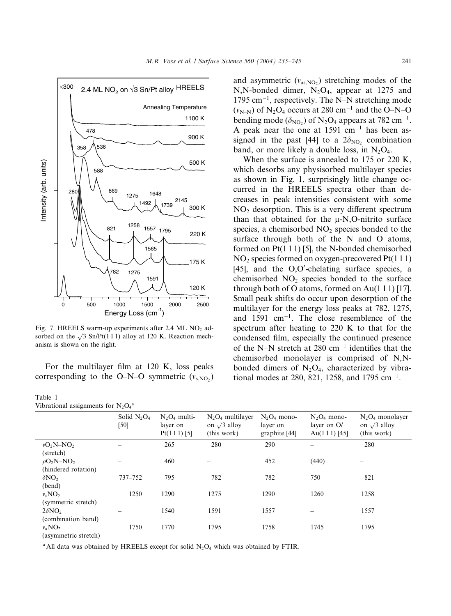

Fig. 7. HREELS warm-up experiments after 2.4 ML NO<sub>2</sub> adsorbed on the  $\sqrt{3}$  Sn/Pt(1 1 1) alloy at 120 K. Reaction mechanism is shown on the right.

Table 1

|  | Vibrational assignments for $N_2O_4^a$ |  |  |
|--|----------------------------------------|--|--|
|--|----------------------------------------|--|--|

and asymmetric  $(v_{as,NO_2})$  stretching modes of the N,N-bonded dimer,  $N_2O_4$ , appear at 1275 and  $1795 \text{ cm}^{-1}$ , respectively. The N-N stretching mode  $(v_{N-N})$  of N<sub>2</sub>O<sub>4</sub> occurs at 280 cm<sup>-1</sup> and the O–N–O bending mode  $(\delta_{\text{NO}_2})$  of  $\text{N}_2\text{O}_4$  appears at 782 cm<sup>-1</sup>. A peak near the one at  $1591 \text{ cm}^{-1}$  has been assigned in the past [44] to a  $2\delta_{\text{NO}_2}$  combination band, or more likely a double loss, in  $N_2O_4$ .

| Intensity (arb. units)<br>588<br>869<br>280<br>821<br>$\Omega$<br>500<br>Fig. 7. HREELS warm-up experiments after 2.4 ML NO <sub>2</sub> ad-<br>sorbed on the $\sqrt{3}$ Sn/Pt(111) alloy at 120 K. Reaction mech-<br>anism is shown on the right.<br>For the multilayer film at 120 K, loss peaks<br>corresponding to the O-N-O symmetric $(v_{s,NO_2})$<br>Table 1<br>Vibrational assignments for $N_2O_4^a$ | 1648<br>1275<br>1492<br>1258<br>1565<br>782<br>1275<br>1591<br>1500<br>1000<br>Energy Loss (cm <sup>-1</sup> ) | 500 K<br>2145<br>1739<br>300 K<br>1557 1795<br>220K<br>175 K<br>120 K<br>2000 | 2500                               |                           | tional modes at 280, 821, 1258, and 1795 cm <sup>-1</sup> . | when the surface is annealed to $173$ or $220$ K.<br>which desorbs any physisorbed multilayer species<br>as shown in Fig. 1, surprisingly little change oc-<br>curred in the HREELS spectra other than de-<br>creases in peak intensities consistent with some<br>NO <sub>2</sub> desorption. This is a very different spectrum<br>than that obtained for the $\mu$ -N,O-nitrito surface<br>species, a chemisorbed $NO2$ species bonded to the<br>surface through both of the N and O atoms,<br>formed on $Pt(1\ 1\ 1)$ [5], the N-bonded chemisorbed<br>$NO2$ species formed on oxygen-precovered Pt(111)<br>[45], and the O,O'-chelating surface species, a<br>chemisorbed $NO2$ species bonded to the surface<br>through both of O atoms, formed on Au(111) [17].<br>Small peak shifts do occur upon desorption of the<br>multilayer for the energy loss peaks at 782, 1275,<br>and $1591$ cm <sup>-1</sup> . The close resemblence of the<br>spectrum after heating to 220 K to that for the<br>condensed film, especially the continued presence<br>of the N-N stretch at 280 $cm^{-1}$ identifies that the<br>chemisorbed monolayer is comprised of N,N-<br>bonded dimers of $N_2O_4$ , characterized by vibra- |
|----------------------------------------------------------------------------------------------------------------------------------------------------------------------------------------------------------------------------------------------------------------------------------------------------------------------------------------------------------------------------------------------------------------|----------------------------------------------------------------------------------------------------------------|-------------------------------------------------------------------------------|------------------------------------|---------------------------|-------------------------------------------------------------|-----------------------------------------------------------------------------------------------------------------------------------------------------------------------------------------------------------------------------------------------------------------------------------------------------------------------------------------------------------------------------------------------------------------------------------------------------------------------------------------------------------------------------------------------------------------------------------------------------------------------------------------------------------------------------------------------------------------------------------------------------------------------------------------------------------------------------------------------------------------------------------------------------------------------------------------------------------------------------------------------------------------------------------------------------------------------------------------------------------------------------------------------------------------------------------------------------------------------|
|                                                                                                                                                                                                                                                                                                                                                                                                                | Solid $N_2O_4$                                                                                                 | $N_2O_4$ multi-                                                               | $N_2O_4$ multilayer                | $N_2O_4$ mono-            | $N_2O_4$ mono-                                              | $N_2O_4$ monolayer                                                                                                                                                                                                                                                                                                                                                                                                                                                                                                                                                                                                                                                                                                                                                                                                                                                                                                                                                                                                                                                                                                                                                                                                    |
|                                                                                                                                                                                                                                                                                                                                                                                                                | [50]                                                                                                           | layer on<br>Pt(111) [5]                                                       | on $\sqrt{3}$ alloy<br>(this work) | layer on<br>graphite [44] | layer on O/<br>Au $(1\ 1\ 1)$ [45]                          | on $\sqrt{3}$ alloy<br>(this work)                                                                                                                                                                                                                                                                                                                                                                                                                                                                                                                                                                                                                                                                                                                                                                                                                                                                                                                                                                                                                                                                                                                                                                                    |
| $vO_2N-NO_2$                                                                                                                                                                                                                                                                                                                                                                                                   |                                                                                                                | 265                                                                           | 280                                | 290                       |                                                             | 280                                                                                                                                                                                                                                                                                                                                                                                                                                                                                                                                                                                                                                                                                                                                                                                                                                                                                                                                                                                                                                                                                                                                                                                                                   |
| (stretch)                                                                                                                                                                                                                                                                                                                                                                                                      |                                                                                                                |                                                                               |                                    |                           |                                                             |                                                                                                                                                                                                                                                                                                                                                                                                                                                                                                                                                                                                                                                                                                                                                                                                                                                                                                                                                                                                                                                                                                                                                                                                                       |
| $\rho O_2N-NO_2$                                                                                                                                                                                                                                                                                                                                                                                               |                                                                                                                | 460                                                                           |                                    | 452                       | (440)                                                       |                                                                                                                                                                                                                                                                                                                                                                                                                                                                                                                                                                                                                                                                                                                                                                                                                                                                                                                                                                                                                                                                                                                                                                                                                       |
| (hindered rotation)                                                                                                                                                                                                                                                                                                                                                                                            |                                                                                                                |                                                                               |                                    |                           |                                                             |                                                                                                                                                                                                                                                                                                                                                                                                                                                                                                                                                                                                                                                                                                                                                                                                                                                                                                                                                                                                                                                                                                                                                                                                                       |
| $\delta NO_2$                                                                                                                                                                                                                                                                                                                                                                                                  | 737-752                                                                                                        | 795                                                                           | 782                                | 782                       | 750                                                         | 821                                                                                                                                                                                                                                                                                                                                                                                                                                                                                                                                                                                                                                                                                                                                                                                                                                                                                                                                                                                                                                                                                                                                                                                                                   |
| (bend)<br>$v_s \text{NO}_2$                                                                                                                                                                                                                                                                                                                                                                                    | 1250                                                                                                           | 1290                                                                          | 1275                               | 1290                      | 1260                                                        | 1258                                                                                                                                                                                                                                                                                                                                                                                                                                                                                                                                                                                                                                                                                                                                                                                                                                                                                                                                                                                                                                                                                                                                                                                                                  |
| (symmetric stretch)                                                                                                                                                                                                                                                                                                                                                                                            |                                                                                                                |                                                                               |                                    |                           |                                                             |                                                                                                                                                                                                                                                                                                                                                                                                                                                                                                                                                                                                                                                                                                                                                                                                                                                                                                                                                                                                                                                                                                                                                                                                                       |
| $2\delta \text{NO}_2$                                                                                                                                                                                                                                                                                                                                                                                          |                                                                                                                | 1540                                                                          | 1591                               | 1557                      |                                                             | 1557                                                                                                                                                                                                                                                                                                                                                                                                                                                                                                                                                                                                                                                                                                                                                                                                                                                                                                                                                                                                                                                                                                                                                                                                                  |
| (combination band)                                                                                                                                                                                                                                                                                                                                                                                             |                                                                                                                |                                                                               |                                    |                           |                                                             |                                                                                                                                                                                                                                                                                                                                                                                                                                                                                                                                                                                                                                                                                                                                                                                                                                                                                                                                                                                                                                                                                                                                                                                                                       |
| $v_a \text{NO}_2$                                                                                                                                                                                                                                                                                                                                                                                              | 1750                                                                                                           | 1770                                                                          | 1795                               | 1758                      | 1745                                                        | 1795                                                                                                                                                                                                                                                                                                                                                                                                                                                                                                                                                                                                                                                                                                                                                                                                                                                                                                                                                                                                                                                                                                                                                                                                                  |
| (asymmetric stretch)                                                                                                                                                                                                                                                                                                                                                                                           |                                                                                                                |                                                                               |                                    |                           |                                                             |                                                                                                                                                                                                                                                                                                                                                                                                                                                                                                                                                                                                                                                                                                                                                                                                                                                                                                                                                                                                                                                                                                                                                                                                                       |
| <sup>a</sup> All data was obtained by HREELS except for solid $N_2O_4$ which was obtained by FTIR.                                                                                                                                                                                                                                                                                                             |                                                                                                                |                                                                               |                                    |                           |                                                             |                                                                                                                                                                                                                                                                                                                                                                                                                                                                                                                                                                                                                                                                                                                                                                                                                                                                                                                                                                                                                                                                                                                                                                                                                       |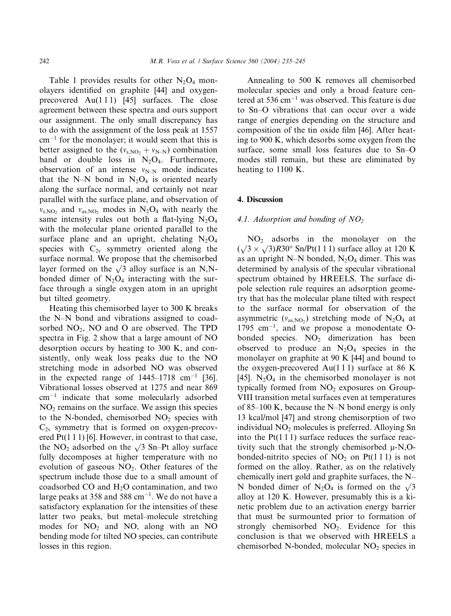Table 1 provides results for other  $N_2O_4$  monolayers identified on graphite [44] and oxygenprecovered  $Au(111)$  [45] surfaces. The close agreement between these spectra and ours support our assignment. The only small discrepancy has to do with the assignment of the loss peak at 1557  $cm^{-1}$  for the monolayer; it would seem that this is better assigned to the  $(v<sub>s,NO</sub>, + v<sub>N-N</sub>)$  combination band or double loss in  $N_2O_4$ . Furthermore, observation of an intense  $v_{N-N}$  mode indicates that the N–N bond in  $N_2O_4$  is oriented nearly along the surface normal, and certainly not near parallel with the surface plane, and observation of  $v_{s,NO_2}$  and  $v_{as,NO_2}$  modes in N<sub>2</sub>O<sub>4</sub> with nearly the same intensity rules out both a flat-lying  $N_2O_4$ with the molecular plane oriented parallel to the surface plane and an upright, chelating  $N_2O_4$ species with  $C_{2v}$  symmetry oriented along the surface normal. We propose that the chemisorbed layer formed on the  $\sqrt{3}$  alloy surface is an N,Nbonded dimer of  $N_2O_4$  interacting with the surface through a single oxygen atom in an upright but tilted geometry.

Heating this chemisorbed layer to 300 K breaks the N–N bond and vibrations assigned to coadsorbed  $NO<sub>2</sub>$ , NO and O are observed. The TPD spectra in Fig. 2 show that a large amount of NO desorption occurs by heating to 300 K, and consistently, only weak loss peaks due to the NO stretching mode in adsorbed NO was observed in the expected range of  $1445-1718$  cm<sup>-1</sup> [36]. Vibrational losses observed at 1275 and near 869 cm-<sup>1</sup> indicate that some molecularly adsorbed  $NO<sub>2</sub>$  remains on the surface. We assign this species to the N-bonded, chemisorbed  $NO<sub>2</sub>$  species with  $C_{2v}$  symmetry that is formed on oxygen-precovered  $Pt(1\ 1\ 1)$  [6]. However, in contrast to that case, the NO<sub>2</sub> adsorbed on the  $\sqrt{3}$  Sn–Pt alloy surface fully decomposes at higher temperature with no evolution of gaseous  $NO<sub>2</sub>$ . Other features of the spectrum include those due to a small amount of coadsorbed CO and  $H<sub>2</sub>O$  contamination, and two large peaks at 358 and 588  $\rm cm^{-1}$ . We do not have a satisfactory explanation for the intensities of these latter two peaks, but metal–molecule stretching modes for  $NO<sub>2</sub>$  and NO, along with an NO bending mode for tilted NO species, can contribute losses in this region.

Annealing to 500 K removes all chemisorbed molecular species and only a broad feature centered at 536 cm-<sup>1</sup> was observed. This feature is due to Sn–O vibrations that can occur over a wide range of energies depending on the structure and composition of the tin oxide film [46]. After heating to 900 K, which desorbs some oxygen from the surface, some small loss features due to Sn–O modes still remain, but these are eliminated by heating to 1100 K.

### 4. Discussion

## 4.1. Adsorption and bonding of  $NO<sub>2</sub>$

 $NO<sub>2</sub>$  adsorbs in the monolayer on the  $(\sqrt{3} \times \sqrt{3})R30^\circ$  Sn/Pt(1 1 1) surface alloy at 120 K as an upright N–N bonded,  $N_2O_4$  dimer. This was determined by analysis of the specular vibrational spectrum obtained by HREELS. The surface dipole selection rule requires an adsorption geometry that has the molecular plane tilted with respect to the surface normal for observation of the asymmetric ( $v_{as,NO_2}$ ) stretching mode of N<sub>2</sub>O<sub>4</sub> at  $1795 \text{ cm}^{-1}$ , and we propose a monodentate Obonded species.  $NO<sub>2</sub>$  dimerization has been observed to produce an  $N_2O_4$  species in the monolayer on graphite at 90 K [44] and bound to the oxygen-precovered Au(111) surface at 86 K [45].  $N_2O_4$  in the chemisorbed monolayer is not typically formed from  $NO<sub>2</sub>$  exposures on Group-VIII transition metal surfaces even at temperatures of 85–100 K, because the N–N bond energy is only 13 kcal/mol [47] and strong chemisorption of two individual  $NO<sub>2</sub>$  molecules is preferred. Alloying Sn into the  $Pt(1\ 1\ 1)$  surface reduces the surface reactivity such that the strongly chemisorbed  $\mu$ -N,Obonded-nitrito species of  $NO<sub>2</sub>$  on Pt(111) is not formed on the alloy. Rather, as on the relatively chemically inert gold and graphite surfaces, the N– N bonded dimer of N<sub>2</sub>O<sub>4</sub> is formed on the  $\sqrt{3}$ alloy at 120 K. However, presumably this is a kinetic problem due to an activation energy barrier that must be surmounted prior to formation of strongly chemisorbed  $NO<sub>2</sub>$ . Evidence for this conclusion is that we observed with HREELS a chemisorbed N-bonded, molecular  $NO<sub>2</sub>$  species in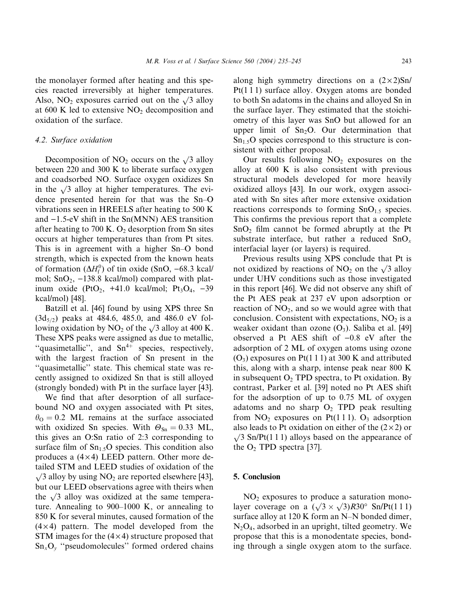the monolayer formed after heating and this species reacted irreversibly at higher temperatures. Also, NO<sub>2</sub> exposures carried out on the  $\sqrt{3}$  alloy at 600 K led to extensive  $NO<sub>2</sub>$  decomposition and oxidation of the surface.

#### 4.2. Surface oxidation

Decomposition of  $NO<sub>2</sub>$  occurs on the  $\sqrt{3}$  alloy between 220 and 300 K to liberate surface oxygen and coadsorbed NO. Surface oxygen oxidizes Sn in the  $\sqrt{3}$  alloy at higher temperatures. The evidence presented herein for that was the Sn–O vibrations seen in HREELS after heating to 500 K and  $-1.5-eV$  shift in the Sn(MNN) AES transition after heating to 700 K. O<sub>2</sub> desorption from Sn sites occurs at higher temperatures than from Pt sites. This is in agreement with a higher Sn–O bond strength, which is expected from the known heats of formation  $(\Delta H_f^0)$  of tin oxide (SnO, -68.3 kcal/ mol;  $SnO<sub>2</sub>$ ,  $-138.8$  kcal/mol) compared with platinum oxide (PtO<sub>2</sub>, +41.0 kcal/mol; Pt<sub>3</sub>O<sub>4</sub>, -39 kcal/mol) [48].

Batzill et al. [46] found by using XPS three Sn  $(3d_{5/2})$  peaks at 484.6, 485.0, and 486.0 eV following oxidation by  $NO_2$  of the  $\sqrt{3}$  alloy at 400 K. These XPS peaks were assigned as due to metallic, "quasimetallic", and  $Sn^{4+}$  species, respectively, with the largest fraction of Sn present in the ''quasimetallic'' state. This chemical state was recently assigned to oxidized Sn that is still alloyed (strongly bonded) with Pt in the surface layer [43].

We find that after desorption of all surfacebound NO and oxygen associated with Pt sites,  $\theta_{\rm O} = 0.2$  ML remains at the surface associated with oxidized Sn species. With  $\Theta_{\text{Sn}} = 0.33$  ML, this gives an O:Sn ratio of 2:3 corresponding to surface film of  $Sn<sub>1.5</sub>O$  species. This condition also produces a  $(4 \times 4)$  LEED pattern. Other more detailed STM and LEED studies of oxidation of the  $\sqrt{3}$  alloy by using NO<sub>2</sub> are reported elsewhere [43], but our LEED observations agree with theirs when the  $\sqrt{3}$  alloy was oxidized at the same temperature. Annealing to 900–1000 K, or annealing to 850 K for several minutes, caused formation of the  $(4 \times 4)$  pattern. The model developed from the STM images for the  $(4 \times 4)$  structure proposed that  $\text{Sn}_x\text{O}_y$  "pseudomolecules" formed ordered chains

along high symmetry directions on a  $(2 \times 2)$ Sn/ Pt(1 1 1) surface alloy. Oxygen atoms are bonded to both Sn adatoms in the chains and alloyed Sn in the surface layer. They estimated that the stoichiometry of this layer was SnO but allowed for an upper limit of  $Sn<sub>2</sub>O$ . Our determination that  $Sn<sub>15</sub>O$  species correspond to this structure is consistent with either proposal.

Our results following  $NO<sub>2</sub>$  exposures on the alloy at 600 K is also consistent with previous structural models developed for more heavily oxidized alloys [43]. In our work, oxygen associated with Sn sites after more extensive oxidation reactions corresponds to forming  $SnO<sub>1.5</sub>$  species. This confirms the previous report that a complete  $SnO<sub>2</sub>$  film cannot be formed abruptly at the Pt substrate interface, but rather a reduced  $SnO<sub>x</sub>$ interfacial layer (or layers) is required.

Previous results using XPS conclude that Pt is not oxidized by reactions of  $NO<sub>2</sub>$  on the  $\sqrt{3}$  alloy under UHV conditions such as those investigated in this report [46]. We did not observe any shift of the Pt AES peak at 237 eV upon adsorption or reaction of  $NO<sub>2</sub>$ , and so we would agree with that conclusion. Consistent with expectations,  $NO<sub>2</sub>$  is a weaker oxidant than ozone  $(O_3)$ . Saliba et al. [49] observed a Pt AES shift of  $-0.8$  eV after the adsorption of 2 ML of oxygen atoms using ozone  $(O_3)$  exposures on Pt(1 1 1) at 300 K and attributed this, along with a sharp, intense peak near 800 K in subsequent  $O_2$  TPD spectra, to Pt oxidation. By contrast, Parker et al. [39] noted no Pt AES shift for the adsorption of up to 0.75 ML of oxygen adatoms and no sharp  $O_2$  TPD peak resulting from  $NO<sub>2</sub>$  exposures on Pt(111).  $O<sub>3</sub>$  adsorption also leads to Pt oxidation on either of the  $(2 \times 2)$  or  $\sqrt{3}$  Sn/Pt(1 1 1) alloys based on the appearance of the  $O_2$  TPD spectra [37].

#### 5. Conclusion

 $NO<sub>2</sub>$  exposures to produce a saturation monolayer coverage on a  $(\sqrt{3} \times \sqrt{3})R30^\circ$  Sn/Pt(1 1 1) surface alloy at 120 K form an N–N bonded dimer,  $N<sub>2</sub>O<sub>4</sub>$ , adsorbed in an upright, tilted geometry. We propose that this is a monodentate species, bonding through a single oxygen atom to the surface.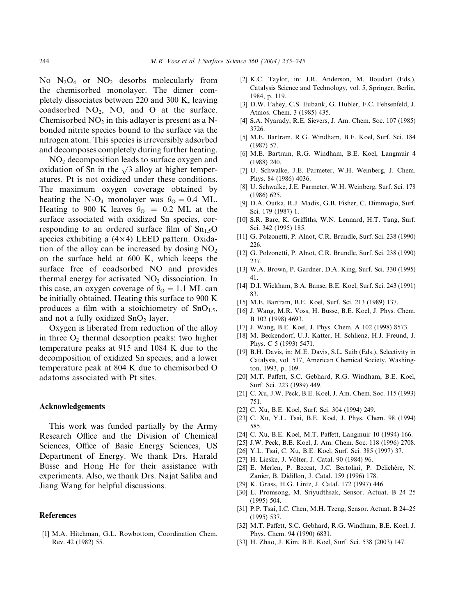No  $N_2O_4$  or  $NO_2$  desorbs molecularly from the chemisorbed monolayer. The dimer completely dissociates between 220 and 300 K, leaving coadsorbed  $NO<sub>2</sub>$ , NO, and O at the surface. Chemisorbed  $NO<sub>2</sub>$  in this adlayer is present as a Nbonded nitrite species bound to the surface via the nitrogen atom. This species is irreversibly adsorbed and decomposes completely during further heating.

 $NO<sub>2</sub>$  decomposition leads to surface oxygen and oxidation of Sn in the  $\sqrt{3}$  alloy at higher temperatures. Pt is not oxidized under these conditions. The maximum oxygen coverage obtained by heating the N<sub>2</sub>O<sub>4</sub> monolayer was  $\theta_{\rm O} = 0.4$  ML. Heating to 900 K leaves  $\theta_{\text{O}} = 0.2$  ML at the surface associated with oxidized Sn species, corresponding to an ordered surface film of  $Sn<sub>1.5</sub>O$ species exhibiting a  $(4 \times 4)$  LEED pattern. Oxidation of the alloy can be increased by dosing  $NO<sub>2</sub>$ on the surface held at 600 K, which keeps the surface free of coadsorbed NO and provides thermal energy for activated  $NO<sub>2</sub>$  dissociation. In this case, an oxygen coverage of  $\theta_{\rm O} = 1.1$  ML can be initially obtained. Heating this surface to 900 K produces a film with a stoichiometry of  $SnO<sub>1.5</sub>$ , and not a fully oxidized  $SnO<sub>2</sub>$  layer.

Oxygen is liberated from reduction of the alloy in three  $O_2$  thermal desorption peaks: two higher temperature peaks at 915 and 1084 K due to the decomposition of oxidized Sn species; and a lower temperature peak at 804 K due to chemisorbed O adatoms associated with Pt sites.

#### Acknowledgements

This work was funded partially by the Army Research Office and the Division of Chemical Sciences, Office of Basic Energy Sciences, US Department of Energy. We thank Drs. Harald Busse and Hong He for their assistance with experiments. Also, we thank Drs. Najat Saliba and Jiang Wang for helpful discussions.

#### References

[1] M.A. Hitchman, G.L. Rowbottom, Coordination Chem. Rev. 42 (1982) 55.

- [2] K.C. Taylor, in: J.R. Anderson, M. Boudart (Eds.), Catalysis Science and Technology, vol. 5, Springer, Berlin, 1984, p. 119.
- [3] D.W. Fahey, C.S. Eubank, G. Hubler, F.C. Fehsenfeld, J. Atmos. Chem. 3 (1985) 435.
- [4] S.A. Nyarady, R.E. Sievers, J. Am. Chem. Soc. 107 (1985) 3726.
- [5] M.E. Bartram, R.G. Windham, B.E. Koel, Surf. Sci. 184 (1987) 57.
- [6] M.E. Bartram, R.G. Windham, B.E. Koel, Langmuir 4 (1988) 240.
- [7] U. Schwalke, J.E. Parmeter, W.H. Weinberg, J. Chem. Phys. 84 (1986) 4036.
- [8] U. Schwalke, J.E. Parmeter, W.H. Weinberg, Surf. Sci. 178 (1986) 625.
- [9] D.A. Outka, R.J. Madix, G.B. Fisher, C. Dimmagio, Surf. Sci. 179 (1987) 1.
- [10] S.R. Bare, K. Griffiths, W.N. Lennard, H.T. Tang, Surf. Sci. 342 (1995) 185.
- [11] G. Polzonetti, P. Alnot, C.R. Brundle, Surf. Sci. 238 (1990) 226.
- [12] G. Polzonetti, P. Alnot, C.R. Brundle, Surf. Sci. 238 (1990) 237.
- [13] W.A. Brown, P. Gardner, D.A. King, Surf. Sci. 330 (1995) 41.
- [14] D.I. Wickham, B.A. Banse, B.E. Koel, Surf. Sci. 243 (1991) 83.
- [15] M.E. Bartram, B.E. Koel, Surf. Sci. 213 (1989) 137.
- [16] J. Wang, M.R. Voss, H. Busse, B.E. Koel, J. Phys. Chem. B 102 (1998) 4693.
- [17] J. Wang, B.E. Koel, J. Phys. Chem. A 102 (1998) 8573.
- [18] M. Beckendorf, U.J. Katter, H. Schlienz, H.J. Freund, J. Phys. C 5 (1993) 5471.
- [19] B.H. Davis, in: M.E. Davis, S.L. Suib (Eds.), Selectivity in Catalysis, vol. 517, American Chemical Society, Washington, 1993, p. 109.
- [20] M.T. Paffett, S.C. Gebhard, R.G. Windham, B.E. Koel, Surf. Sci. 223 (1989) 449.
- [21] C. Xu, J.W. Peck, B.E. Koel, J. Am. Chem. Soc. 115 (1993) 751.
- [22] C. Xu, B.E. Koel, Surf. Sci. 304 (1994) 249.
- [23] C. Xu, Y.L. Tsai, B.E. Koel, J. Phys. Chem. 98 (1994) 585.
- [24] C. Xu, B.E. Koel, M.T. Paffett, Langmuir 10 (1994) 166.
- [25] J.W. Peck, B.E. Koel, J. Am. Chem. Soc. 118 (1996) 2708.
- [26] Y.L. Tsai, C. Xu, B.E. Koel, Surf. Sci. 385 (1997) 37.
- [27] H. Lieske, J. Völter, J. Catal. 90 (1984) 96.
- [28] E. Merlen, P. Beccat, J.C. Bertolini, P. Delichère, N. Zanier, B. Didillon, J. Catal. 159 (1996) 178.
- [29] K. Grass, H.G. Lintz, J. Catal. 172 (1997) 446.
- [30] L. Promsong, M. Sriyudthsak, Sensor. Actuat. B 24–25 (1995) 504.
- [31] P.P. Tsai, I.C. Chen, M.H. Tzeng, Sensor. Actuat. B 24–25 (1995) 537.
- [32] M.T. Paffett, S.C. Gebhard, R.G. Windham, B.E. Koel, J. Phys. Chem. 94 (1990) 6831.
- [33] H. Zhao, J. Kim, B.E. Koel, Surf. Sci. 538 (2003) 147.